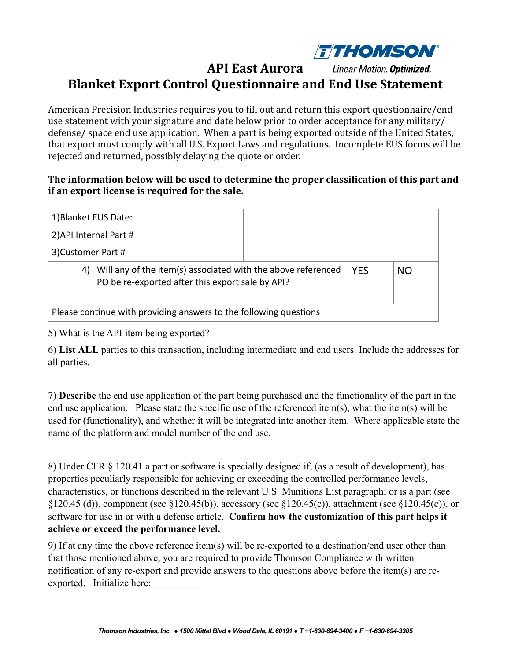

## **API East Aurora** Linear Motion. Optimized. **Blanket Export Control Questionnaire and End Use Statement**

American Precision Industries requires you to fill out and return this export questionnaire/end use statement with your signature and date below prior to order acceptance for any military/ defense/ space end use application. When a part is being exported outside of the United States, that export must comply with all U.S. Export Laws and regulations. Incomplete EUS forms will be rejected and returned, possibly delaying the quote or order.

## The information below will be used to determine the proper classification of this part and **if an export license is required for the sale.**

| 1) Blanket EUS Date:                                                                                                   |  |            |           |
|------------------------------------------------------------------------------------------------------------------------|--|------------|-----------|
| 2) API Internal Part #                                                                                                 |  |            |           |
| 3) Customer Part #                                                                                                     |  |            |           |
| Will any of the item(s) associated with the above referenced<br>4)<br>PO be re-exported after this export sale by API? |  | <b>YES</b> | <b>NO</b> |
| Please continue with providing answers to the following questions                                                      |  |            |           |

5) What is the API item being exported?

6) **List ALL** parties to this transaction, including intermediate and end users. Include the addresses for all parties.

7) **Describe** the end use application of the part being purchased and the functionality of the part in the end use application. Please state the specific use of the referenced item(s), what the item(s) will be used for (functionality), and whether it will be integrated into another item. Where applicable state the name of the platform and model number of the end use.

8) Under CFR § 120.41 a part or software is specially designed if, (as a result of development), has properties peculiarly responsible for achieving or exceeding the controlled performance levels, characteristics, or functions described in the relevant U.S. Munitions List paragraph; or is a part (see §120.45 (d)), component (see §120.45(b)), accessory (see §120.45(c)), attachment (see §120.45(c)), or software for use in or with a defense article. **Confirm how the customization of this part helps it achieve or exceed the performance level.** 

9) If at any time the above reference item(s) will be re-exported to a destination/end user other than that those mentioned above, you are required to provide Thomson Compliance with written notification of any re-export and provide answers to the questions above before the item(s) are reexported. Initialize here: